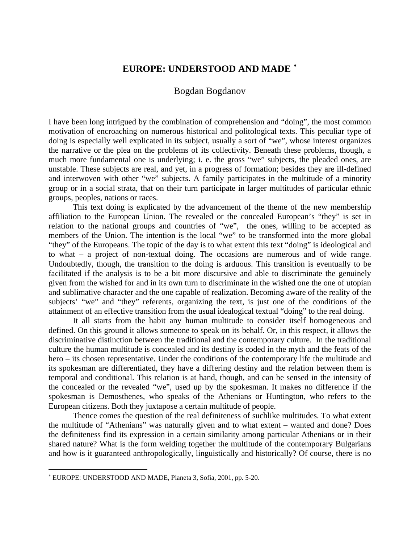## **EUROPE: UNDERSTOOD AND MADE** [∗](#page-0-0)

## Bogdan Bogdanov

I have been long intrigued by the combination of comprehension and "doing", the most common motivation of encroaching on numerous historical and politological texts. This peculiar type of doing is especially well explicated in its subject, usually a sort of "we", whose interest organizes the narrative or the plea on the problems of its collectivity. Beneath these problems, though, a much more fundamental one is underlying; i. e. the gross "we" subjects, the pleaded ones, are unstable. These subjects are real, and yet, in a progress of formation; besides they are ill-defined and interwoven with other "we" subjects. A family participates in the multitude of a minority group or in a social strata, that on their turn participate in larger multitudes of particular ethnic groups, peoples, nations or races.

This text doing is explicated by the advancement of the theme of the new membership affiliation to the European Union. The revealed or the concealed European's "they" is set in relation to the national groups and countries of "we", the ones, willing to be accepted as members of the Union. The intention is the local "we" to be transformed into the more global "they" of the Europeans. The topic of the day is to what extent this text "doing" is ideological and to what – a project of non-textual doing. The occasions are numerous and of wide range. Undoubtedly, though, the transition to the doing is arduous. This transition is eventually to be facilitated if the analysis is to be a bit more discursive and able to discriminate the genuinely given from the wished for and in its own turn to discriminate in the wished one the one of utopian and sublimative character and the one capable of realization. Becoming aware of the reality of the subjects' "we" and "they" referents, organizing the text, is just one of the conditions of the attainment of an effective transition from the usual idealogical textual "doing" to the real doing.

It all starts from the habit any human multitude to consider itself homogeneous and defined. On this ground it allows someone to speak on its behalf. Or, in this respect, it allows the discriminative distinction between the traditional and the contemporary culture. In the traditional culture the human multitude is concealed and its destiny is coded in the myth and the feats of the hero – its chosen representative. Under the conditions of the contemporary life the multitude and its spokesman are differentiated, they have a differing destiny and the relation between them is temporal and conditional. This relation is at hand, though, and can be sensed in the intensity of the concealed or the revealed "we", used up by the spokesman. It makes no difference if the spokesman is Demosthenes, who speaks of the Athenians or Huntington, who refers to the European citizens. Both they juxtapose a certain multitude of people.

Thence comes the question of the real definiteness of suchlike multitudes. To what extent the multitude of "Athenians" was naturally given and to what extent – wanted and done? Does the definiteness find its expression in a certain similarity among particular Athenians or in their shared nature? What is the form welding together the multitude of the contemporary Bulgarians and how is it guaranteed anthropologically, linguistically and historically? Of course, there is no

<u>.</u>

<span id="page-0-0"></span><sup>∗</sup> EUROPE: UNDERSTOOD AND MADE, Planeta 3, Sofia, 2001, pp. 5-20.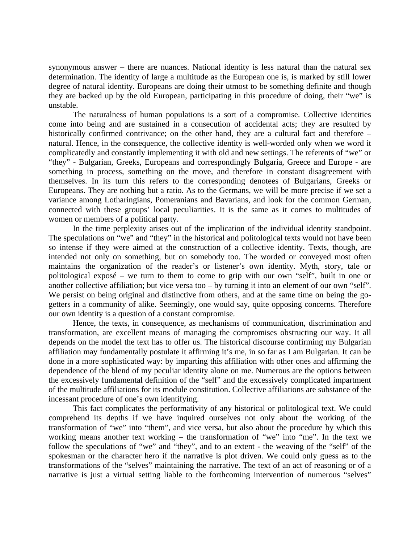synonymous answer – there are nuances. National identity is less natural than the natural sex determination. The identity of large a multitude as the European one is, is marked by still lower degree of natural identity. Europeans are doing their utmost to be something definite and though they are backed up by the old European, participating in this procedure of doing, their "we" is unstable.

The naturalness of human populations is a sort of a compromise. Collective identities come into being and are sustained in a consecution of accidental acts; they are resulted by historically confirmed contrivance; on the other hand, they are a cultural fact and therefore – natural. Hence, in the consequence, the collective identity is well-worded only when we word it complicatedly and constantly implementing it with old and new settings. The referents of "we" or "they" - Bulgarian, Greeks, Europeans and correspondingly Bulgaria, Greece and Europe - are something in process, something on the move, and therefore in constant disagreement with themselves. In its turn this refers to the corresponding denotees of Bulgarians, Greeks or Europeans. They are nothing but a ratio. As to the Germans, we will be more precise if we set a variance among Lotharingians, Pomeranians and Bavarians, and look for the common German, connected with these groups' local peculiarities. It is the same as it comes to multitudes of women or members of a political party.

In the time perplexity arises out of the implication of the individual identity standpoint. The speculations on "we" and "they" in the historical and politological texts would not have been so intense if they were aimed at the construction of a collective identity. Texts, though, are intended not only on something, but on somebody too. The worded or conveyed most often maintains the organization of the reader's or listener's own identity. Myth, story, tale or politological exposé – we turn to them to come to grip with our own "self", built in one or another collective affiliation; but vice versa too – by turning it into an element of our own "self". We persist on being original and distinctive from others, and at the same time on being the gogetters in a community of alike. Seemingly, one would say, quite opposing concerns. Therefore our own identity is a question of a constant compromise.

Hence, the texts, in consequence, as mechanisms of communication, discrimination and transformation, are excellent means of managing the compromises obstructing our way. It all depends on the model the text has to offer us. The historical discourse confirming my Bulgarian affiliation may fundamentally postulate it affirming it's me, in so far as I am Bulgarian. It can be done in a more sophisticated way: by imparting this affiliation with other ones and affirming the dependence of the blend of my peculiar identity alone on me. Numerous are the options between the excessively fundamental definition of the "self" and the excessively complicated impartment of the multitude affiliations for its module constitution. Collective affiliations are substance of the incessant procedure of one's own identifying.

This fact complicates the performativity of any historical or politological text. We could comprehend its depths if we have inquired ourselves not only about the working of the transformation of "we" into "them", and vice versa, but also about the procedure by which this working means another text working – the transformation of "we" into "me". In the text we follow the speculations of "we" and "they", and to an extent - the weaving of the "self" of the spokesman or the character hero if the narrative is plot driven. We could only guess as to the transformations of the "selves" maintaining the narrative. The text of an act of reasoning or of a narrative is just a virtual setting liable to the forthcoming intervention of numerous "selves"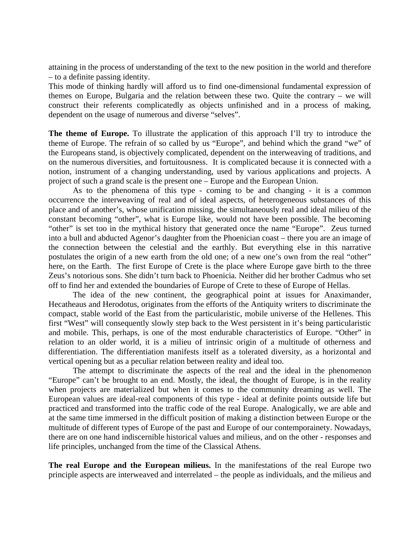attaining in the process of understanding of the text to the new position in the world and therefore – to a definite passing identity.

This mode of thinking hardly will afford us to find one-dimensional fundamental expression of themes on Europe, Bulgaria and the relation between these two. Quite the contrary – we will construct their referents complicatedly as objects unfinished and in a process of making, dependent on the usage of numerous and diverse "selves".

**The theme of Europe.** To illustrate the application of this approach I'll try to introduce the theme of Europe. The refrain of so called by us "Europe", and behind which the grand "we" of the Europeans stand, is objectively complicated, dependent on the interweaving of traditions, and on the numerous diversities, and fortuitousness. It is complicated because it is connected with a notion, instrument of a changing understanding, used by various applications and projects. A project of such a grand scale is the present one – Europe and the European Union.

As to the phenomena of this type - coming to be and changing - it is a common occurrence the interweaving of real and of ideal aspects, of heterogeneous substances of this place and of another's, whose unification missing, the simultaneously real and ideal milieu of the constant becoming "other", what is Europe like, would not have been possible. The becoming "other" is set too in the mythical history that generated once the name "Europe". Zeus turned into a bull and abducted Agenor's daughter from the Phoenician coast – there you are an image of the connection between the celestial and the earthly. But everything else in this narrative postulates the origin of a new earth from the old one; of a new one's own from the real "other" here, on the Earth. The first Europe of Crete is the place where Europe gave birth to the three Zeus's notorious sons. She didn't turn back to Phoenicia. Neither did her brother Cadmus who set off to find her and extended the boundaries of Europe of Crete to these of Europe of Hellas.

The idea of the new continent, the geographical point at issues for Anaximander, Hecatheaus and Herodotus, originates from the efforts of the Antiquity writers to discriminate the compact, stable world of the East from the particularistic, mobile universe of the Hellenes. This first "West" will consequently slowly step back to the West persistent in it's being particularistic and mobile. This, perhaps, is one of the most endurable characteristics of Europe. "Other" in relation to an older world, it is a milieu of intrinsic origin of a multitude of otherness and differentiation. The differentiation manifests itself as a tolerated diversity, as a horizontal and vertical opening but as a peculiar relation between reality and ideal too.

The attempt to discriminate the aspects of the real and the ideal in the phenomenon "Europe" can't be brought to an end. Mostly, the ideal, the thought of Europe, is in the reality when projects are materialized but when it comes to the community dreaming as well. The European values are ideal-real components of this type - ideal at definite points outside life but practiced and transformed into the traffic code of the real Europe. Analogically, we are able and at the same time immersed in the difficult position of making a distinction between Europe or the multitude of different types of Europe of the past and Europe of our contemporainety. Nowadays, there are on one hand indiscernible historical values and milieus, and on the other - responses and life principles, unchanged from the time of the Classical Athens.

**The real Europe and the European milieus.** In the manifestations of the real Europe two principle aspects are interweaved and interrelated – the people as individuals, and the milieus and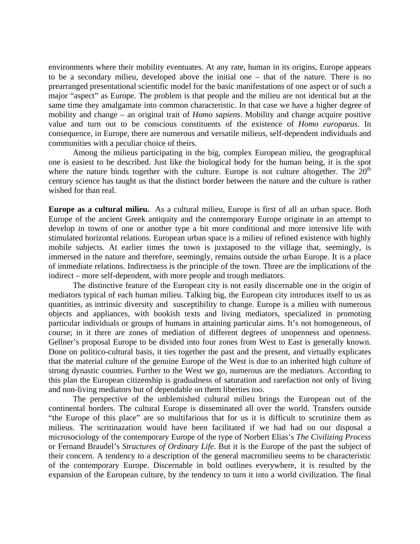environments where their mobility eventuates. At any rate, human in its origins, Europe appears to be a secondary milieu, developed above the initial one – that of the nature. There is no prearranged presentational scientific model for the basic manifestations of one aspect or of such a major "aspect" as Europe. The problem is that people and the milieu are not identical but at the same time they amalgamate into common characteristic. In that case we have a higher degree of mobility and change – an original trait of *Homo sapiens*. Mobility and change acquire positive value and turn out to be conscious constituents of the existence of *Homo europaeus*. In consequence, in Europe, there are numerous and versatile milieus, self-dependent individuals and communities with a peculiar choice of theirs.

Among the milieus participating in the big, complex European milieu, the geographical one is easiest to be described. Just like the biological body for the human being, it is the spot where the nature binds together with the culture. Europe is not culture altogether. The  $20<sup>th</sup>$ century science has taught us that the distinct border between the nature and the culture is rather wished for than real.

**Europe as a cultural milieu.** As a cultural milieu, Europe is first of all an urban space. Both Europe of the ancient Greek antiquity and the contemporary Europe originate in an attempt to develop in towns of one or another type a bit more conditional and more intensive life with stimulated horizontal relations. European urban space is a milieu of refined existence with highly mobile subjects. At earlier times the town is juxtaposed to the village that, seemingly, is immersed in the nature and therefore, seemingly, remains outside the urban Europe. It is a place of immediate relations. Indirectness is the principle of the town. Three are the implications of the indirect – more self-dependent, with more people and trough mediators.

The distinctive feature of the European city is not easily discernable one in the origin of mediators typical of each human milieu. Talking big, the European city introduces itself to us as quantities, as intrinsic diversity and susceptibility to change. Europe is a milieu with numerous objects and appliances, with bookish texts and living mediators, specialized in promoting particular individuals or groups of humans in attaining particular aims. It's not homogeneous, of course; in it there are zones of mediation of different degrees of unopenness and openness. Gellner's proposal Europe to be divided into four zones from West to East is generally known. Done on politico-cultural basis, it ties together the past and the present, and virtually explicates that the material culture of the genuine Europe of the West is due to an inherited high culture of strong dynastic countries. Further to the West we go, numerous are the mediators. According to this plan the European citizenship is gradualness of saturation and rarefaction not only of living and non-living mediators but of dependable on them liberties too.

The perspective of the unblemished cultural milieu brings the European out of the continental borders. The cultural Europe is disseminated all over the world. Transfers outside "the Europe of this place" are so multifarious that for us it is difficult to scrutinize them as milieus. The scritinazation would have been facilitated if we had had on our disposal a microsociology of the contemporary Europe of the type of Norbert Elias's *The Civilizing Process* or Fernand Braudel's *Structures of Ordinary Life*. But it is the Europe of the past the subject of their concern. A tendency to a description of the general macromilieu seems to be characteristic of the contemporary Europe. Discernable in bold outlines everywhere, it is resulted by the expansion of the European culture, by the tendency to turn it into a world civilization. The final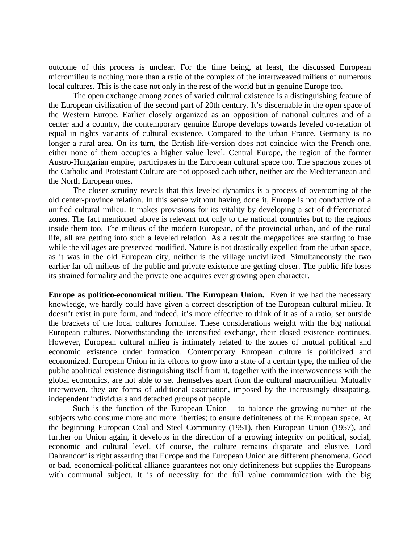outcome of this process is unclear. For the time being, at least, the discussed European micromilieu is nothing more than a ratio of the complex of the intertweaved milieus of numerous local cultures. This is the case not only in the rest of the world but in genuine Europe too.

The open exchange among zones of varied cultural existence is a distinguishing feature of the European civilization of the second part of 20th century. It's discernable in the open space of the Western Europe. Earlier closely organized as an opposition of national cultures and of a center and a country, the contemporary genuine Europe develops towards leveled co-relation of equal in rights variants of cultural existence. Compared to the urban France, Germany is no longer a rural area. On its turn, the British life-version does not coincide with the French one, either none of them occupies a higher value level. Central Europe, the region of the former Austro-Hungarian empire, participates in the European cultural space too. The spacious zones of the Catholic and Protestant Culture are not opposed each other, neither are the Mediterranean and the North European ones.

The closer scrutiny reveals that this leveled dynamics is a process of overcoming of the old center-province relation. In this sense without having done it, Europe is not conductive of a unified cultural milieu. It makes provisions for its vitality by developing a set of differentiated zones. The fact mentioned above is relevant not only to the national countries but to the regions inside them too. The milieus of the modern European, of the provincial urban, and of the rural life, all are getting into such a leveled relation. As a result the megapolices are starting to fuse while the villages are preserved modified. Nature is not drastically expelled from the urban space, as it was in the old European city, neither is the village uncivilized. Simultaneously the two earlier far off milieus of the public and private existence are getting closer. The public life loses its strained formality and the private one acquires ever growing open character.

**Europe as politico-economical milieu. The European Union.** Even if we had the necessary knowledge, we hardly could have given a correct description of the European cultural milieu. It doesn't exist in pure form, and indeed, it's more effective to think of it as of a ratio, set outside the brackets of the local cultures formulae. These considerations weight with the big national European cultures. Notwithstanding the intensified exchange, their closed existence continues. However, European cultural milieu is intimately related to the zones of mutual political and economic existence under formation. Contemporary European culture is politicized and economized. European Union in its efforts to grow into a state of a certain type, the milieu of the public apolitical existence distinguishing itself from it, together with the interwovenness with the global economics, are not able to set themselves apart from the cultural macromilieu. Mutually interwoven, they are forms of additional association, imposed by the increasingly dissipating, independent individuals and detached groups of people.

Such is the function of the European Union  $-$  to balance the growing number of the subjects who consume more and more liberties; to ensure definiteness of the European space. At the beginning European Coal and Steel Community (1951), then European Union (1957), and further on Union again, it develops in the direction of a growing integrity on political, social, economic and cultural level. Of course, the culture remains disparate and elusive. Lord Dahrendorf is right asserting that Europe and the European Union are different phenomena. Good or bad, economical-political alliance guarantees not only definiteness but supplies the Europeans with communal subject. It is of necessity for the full value communication with the big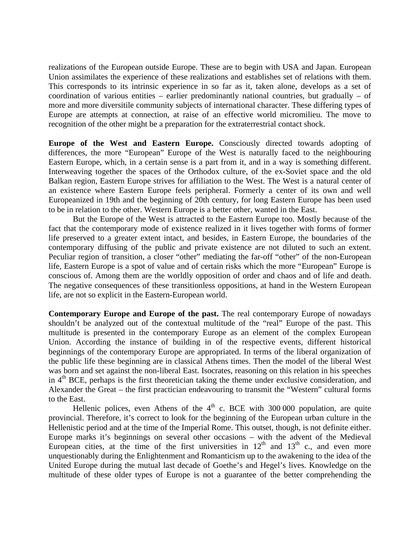realizations of the European outside Europe. These are to begin with USA and Japan. European Union assimilates the experience of these realizations and establishes set of relations with them. This corresponds to its intrinsic experience in so far as it, taken alone, develops as a set of coordination of various entities – earlier predominantly national countries, but gradually – of more and more diversitile community subjects of international character. These differing types of Europe are attempts at connection, at raise of an effective world micromilieu. The move to recognition of the other might be a preparation for the extraterrestrial contact shock.

**Europe of the West and Eastern Europe.** Consciously directed towards adopting of differences, the more "European" Europe of the West is naturally faced to the neighbouring Eastern Europe, which, in a certain sense is a part from it, and in a way is something different. Interweaving together the spaces of the Orthodox culture, of the ex-Soviet space and the old Balkan region, Eastern Europe strives for affiliation to the West. The West is a natural center of an existence where Eastern Europe feels peripheral. Formerly a center of its own and well Europeanized in 19th and the beginning of 20th century, for long Eastern Europe has been used to be in relation to the other. Western Europe is a better other, wanted in the East.

But the Europe of the West is attracted to the Eastern Europe too. Mostly because of the fact that the contemporary mode of existence realized in it lives together with forms of former life preserved to a greater extent intact, and besides, in Eastern Europe, the boundaries of the contemporary diffusing of the public and private existence are not diluted to such an extent. Peculiar region of transition, a closer "other" mediating the far-off "other" of the non-European life, Eastern Europe is a spot of value and of certain risks which the more "European" Europe is conscious of. Among them are the worldly opposition of order and chaos and of life and death. The negative consequences of these transitionless oppositions, at hand in the Western European life, are not so explicit in the Eastern-European world.

**Contemporary Europe and Europe of the past.** The real contemporary Europe of nowadays shouldn't be analyzed out of the contextual multitude of the "real" Europe of the past. This multitude is presented in the contemporary Europe as an element of the complex European Union. According the instance of building in of the respective events, different historical beginnings of the contemporary Europe are appropriated. In terms of the liberal organization of the public life these beginning are in classical Athens times. Then the model of the liberal West was born and set against the non-liberal East. Isocrates, reasoning on this relation in his speeches in  $4<sup>th</sup> BCE$ , perhaps is the first theoretician taking the theme under exclusive consideration, and Alexander the Great – the first practician endeavouring to transmit the "Western" cultural forms to the East.

Hellenic polices, even Athens of the  $4<sup>th</sup>$  c. BCE with 300 000 population, are quite provincial. Therefore, it's correct to look for the beginning of the European urban culture in the Hellenistic period and at the time of the Imperial Rome. This outset, though, is not definite either. Europe marks it's beginnings on several other occasions – with the advent of the Medieval European cities, at the time of the first universities in  $12<sup>th</sup>$  and  $13<sup>th</sup>$  c., and even more unquestionably during the Enlightenment and Romanticism up to the awakening to the idea of the United Europe during the mutual last decade of Goethe's and Hegel's lives. Knowledge on the multitude of these older types of Europe is not a guarantee of the better comprehending the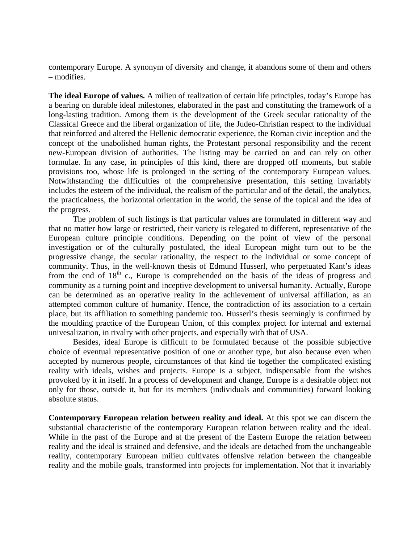contemporary Europe. A synonym of diversity and change, it abandons some of them and others – modifies.

**The ideal Europe of values.** A milieu of realization of certain life principles, today's Europe has a bearing on durable ideal milestones, elaborated in the past and constituting the framework of a long-lasting tradition. Among them is the development of the Greek secular rationality of the Classical Greece and the liberal organization of life, the Judeo-Christian respect to the individual that reinforced and altered the Hellenic democratic experience, the Roman civic inception and the concept of the unabolished human rights, the Protestant personal responsibility and the recent new-European division of authorities. The listing may be carried on and can rely on other formulae. In any case, in principles of this kind, there are dropped off moments, but stable provisions too, whose life is prolonged in the setting of the contemporary European values. Notwithstanding the difficulties of the comprehensive presentation, this setting invariably includes the esteem of the individual, the realism of the particular and of the detail, the analytics, the practicalness, the horizontal orientation in the world, the sense of the topical and the idea of the progress.

The problem of such listings is that particular values are formulated in different way and that no matter how large or restricted, their variety is relegated to different, representative of the European culture principle conditions. Depending on the point of view of the personal investigation or of the culturally postulated, the ideal European might turn out to be the progressive change, the secular rationality, the respect to the individual or some concept of community. Thus, in the well-known thesis of Edmund Husserl, who perpetuated Kant's ideas from the end of  $18<sup>th</sup>$  c., Europe is comprehended on the basis of the ideas of progress and community as a turning point and inceptive development to universal humanity. Actually, Europe can be determined as an operative reality in the achievement of universal affiliation, as an attempted common culture of humanity. Hence, the contradiction of its association to a certain place, but its affiliation to something pandemic too. Husserl's thesis seemingly is confirmed by the moulding practice of the European Union, of this complex project for internal and external univesalization, in rivalry with other projects, and especially with that of USA.

Besides, ideal Europe is difficult to be formulated because of the possible subjective choice of eventual representative position of one or another type, but also because even when accepted by numerous people, circumstances of that kind tie together the complicated existing reality with ideals, wishes and projects. Europe is a subject, indispensable from the wishes provoked by it in itself. In a process of development and change, Europe is a desirable object not only for those, outside it, but for its members (individuals and communities) forward looking absolute status.

**Contemporary European relation between reality and ideal.** At this spot we can discern the substantial characteristic of the contemporary European relation between reality and the ideal. While in the past of the Europe and at the present of the Eastern Europe the relation between reality and the ideal is strained and defensive, and the ideals are detached from the unchangeable reality, contemporary European milieu cultivates offensive relation between the changeable reality and the mobile goals, transformed into projects for implementation. Not that it invariably